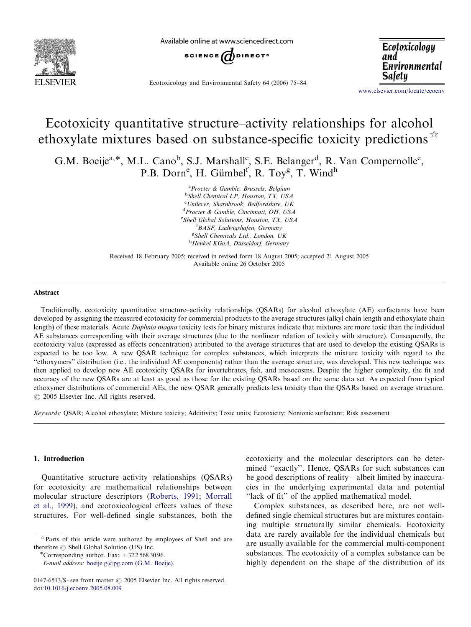

Available online at www.sciencedirect.com



Ecotoxicology and Environmental Safety 64 (2006) 75–84

Ecotoxicology and Environmental Safety

<www.elsevier.com/locate/ecoenv>

# Ecotoxicity quantitative structure–activity relationships for alcohol ethoxylate mixtures based on substance-specific toxicity predictions  $\mathbb{R}^{\times}$

G.M. Boeije<sup>a,\*</sup>, M.L. Cano<sup>b</sup>, S.J. Marshall<sup>c</sup>, S.E. Belanger<sup>d</sup>, R. Van Compernolle<sup>e</sup>, P.B. Dorn<sup>e</sup>, H. Gümbel<sup>f</sup>, R. Toy<sup>g</sup>, T. Wind<sup>h</sup>

> <sup>a</sup> Procter & Gamble, Brussels, Belgium <sup>b</sup>Shell Chemical LP, Houston, TX, USA c Unilever, Sharnbrook, Bedfordshire, UK <sup>d</sup>Procter & Gamble, Cincinnati, OH, USA <sup>e</sup> Shell Global Solutions, Houston, TX, USA f BASF, Ludwigshafen, Germany <sup>g</sup>Shell Chemicals Ltd., London, UK <sup>h</sup>Henkel KGaA, Düsseldorf, Germany

Received 18 February 2005; received in revised form 18 August 2005; accepted 21 August 2005 Available online 26 October 2005

#### Abstract

Traditionally, ecotoxicity quantitative structure–activity relationships (QSARs) for alcohol ethoxylate (AE) surfactants have been developed by assigning the measured ecotoxicity for commercial products to the average structures (alkyl chain length and ethoxylate chain length) of these materials. Acute *Daphnia magna* toxicity tests for binary mixtures indicate that mixtures are more toxic than the individual AE substances corresponding with their average structures (due to the nonlinear relation of toxicity with structure). Consequently, the ecotoxicity value (expressed as effects concentration) attributed to the average structures that are used to develop the existing QSARs is expected to be too low. A new QSAR technique for complex substances, which interprets the mixture toxicity with regard to the ''ethoxymers'' distribution (i.e., the individual AE components) rather than the average structure, was developed. This new technique was then applied to develop new AE ecotoxicity QSARs for invertebrates, fish, and mesocosms. Despite the higher complexity, the fit and accuracy of the new QSARs are at least as good as those for the existing QSARs based on the same data set. As expected from typical ethoxymer distributions of commercial AEs, the new QSAR generally predicts less toxicity than the QSARs based on average structure.  $\odot$  2005 Elsevier Inc. All rights reserved.

Keywords: QSAR; Alcohol ethoxylate; Mixture toxicity; Additivity; Toxic units; Ecotoxicity; Nonionic surfactant; Risk assessment

## 1. Introduction

Quantitative structure–activity relationships (QSARs) for ecotoxicity are mathematical relationships between molecular structure descriptors [\(Roberts, 1991;](#page-9-0) [Morrall](#page-9-0) [et al., 1999](#page-9-0)), and ecotoxicological effects values of these structures. For well-defined single substances, both the

E-mail address: [boeije.g@pg.com \(G.M. Boeije\).](mailto:boeije.g@pg.com)

ecotoxicity and the molecular descriptors can be determined ''exactly''. Hence, QSARs for such substances can be good descriptions of reality—albeit limited by inaccuracies in the underlying experimental data and potential "lack of fit" of the applied mathematical model.

Complex substances, as described here, are not welldefined single chemical structures but are mixtures containing multiple structurally similar chemicals. Ecotoxicity data are rarely available for the individual chemicals but are usually available for the commercial multi-component substances. The ecotoxicity of a complex substance can be highly dependent on the shape of the distribution of its

 $*$  Parts of this article were authored by employees of Shell and are therefore  $\circledcirc$  Shell Global Solution (US) Inc. \* Corresponding author. Fax:  $+3225683096$ .

<sup>0147-6513/\$ -</sup> see front matter  $\odot$  2005 Elsevier Inc. All rights reserved. doi:[10.1016/j.ecoenv.2005.08.009](dx.doi.org/10.1016/j.ecoenv.2005.08.009)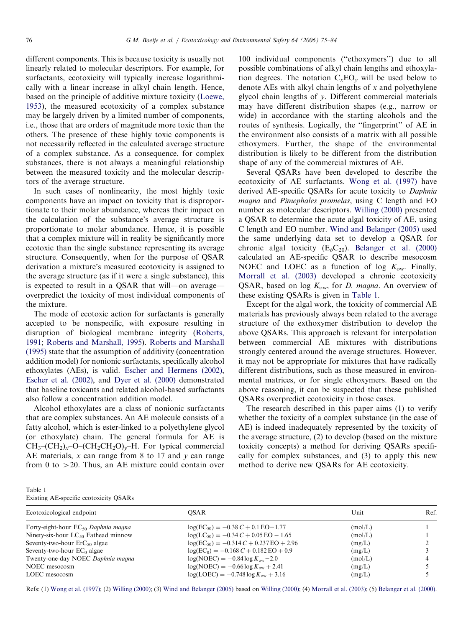different components. This is because toxicity is usually not linearly related to molecular descriptors. For example, for surfactants, ecotoxicity will typically increase logarithmically with a linear increase in alkyl chain length. Hence, based on the principle of additive mixture toxicity ([Loewe,](#page-9-0) [1953\)](#page-9-0), the measured ecotoxicity of a complex substance may be largely driven by a limited number of components, i.e., those that are orders of magnitude more toxic than the others. The presence of these highly toxic components is not necessarily reflected in the calculated average structure of a complex substance. As a consequence, for complex substances, there is not always a meaningful relationship between the measured toxicity and the molecular descriptors of the average structure.

In such cases of nonlinearity, the most highly toxic components have an impact on toxicity that is disproportionate to their molar abundance, whereas their impact on the calculation of the substance's average structure is proportionate to molar abundance. Hence, it is possible that a complex mixture will in reality be significantly more ecotoxic than the single substance representing its average structure. Consequently, when for the purpose of QSAR derivation a mixture's measured ecotoxicity is assigned to the average structure (as if it were a single substance), this is expected to result in a QSAR that will—on average overpredict the toxicity of most individual components of the mixture.

The mode of ecotoxic action for surfactants is generally accepted to be nonspecific, with exposure resulting in disruption of biological membrane integrity ([Roberts,](#page-9-0) [1991](#page-9-0); [Roberts and Marshall, 1995](#page-9-0)). [Roberts and Marshall](#page-9-0) [\(1995\)](#page-9-0) state that the assumption of additivity (concentration addition model) for nonionic surfactants, specifically alcohol ethoxylates (AEs), is valid. [Escher and Hermens \(2002\)](#page-9-0), [Escher et al. \(2002\)](#page-9-0), and [Dyer et al. \(2000\)](#page-9-0) demonstrated that baseline toxicants and related alcohol-based surfactants also follow a concentration addition model.

Alcohol ethoxylates are a class of nonionic surfactants that are complex substances. An AE molecule consists of a fatty alcohol, which is ester-linked to a polyethylene glycol (or ethoxylate) chain. The general formula for AE is  $CH_3$ – $CH_2$ )<sub>x</sub>– $O$ – $CH_2CH_2O$ <sub>v</sub>–H. For typical commercial AE materials,  $x$  can range from 8 to 17 and  $y$  can range from 0 to  $>$  20. Thus, an AE mixture could contain over

100 individual components (''ethoxymers'') due to all possible combinations of alkyl chain lengths and ethoxylation degrees. The notation  $C_xEO_y$  will be used below to denote AEs with alkyl chain lengths of  $x$  and polyethylene glycol chain lengths of y. Different commercial materials may have different distribution shapes (e.g., narrow or wide) in accordance with the starting alcohols and the routes of synthesis. Logically, the ''fingerprint'' of AE in the environment also consists of a matrix with all possible ethoxymers. Further, the shape of the environmental distribution is likely to be different from the distribution shape of any of the commercial mixtures of AE.

Several QSARs have been developed to describe the ecotoxicity of AE surfactants. [Wong et al. \(1997\)](#page-9-0) have derived AE-specific QSARs for acute toxicity to Daphnia magna and Pimephales promelas, using C length and EO number as molecular descriptors. [Willing \(2000\)](#page-9-0) presented a QSAR to determine the acute algal toxicity of AE, using C length and EO number. [Wind and Belanger \(2005\)](#page-9-0) used the same underlying data set to develop a QSAR for chronic algal toxicity  $(E_b C_{20})$ . [Belanger et al. \(2000\)](#page-9-0) calculated an AE-specific QSAR to describe mesocosm NOEC and LOEC as a function of log  $K_{\text{ow}}$ . Finally, [Morrall et al. \(2003\)](#page-9-0) developed a chronic ecotoxicity QSAR, based on log  $K_{ow}$ , for *D. magna*. An overview of these existing QSARs is given in Table 1.

Except for the algal work, the toxicity of commercial AE materials has previously always been related to the average structure of the exthoxymer distribution to develop the above QSARs. This approach is relevant for interpolation between commercial AE mixtures with distributions strongly centered around the average structures. However, it may not be appropriate for mixtures that have radically different distributions, such as those measured in environmental matrices, or for single ethoxymers. Based on the above reasoning, it can be suspected that these published QSARs overpredict ecotoxicity in those cases.

The research described in this paper aims (1) to verify whether the toxicity of a complex substance (in the case of AE) is indeed inadequately represented by the toxicity of the average structure, (2) to develop (based on the mixture toxicity concepts) a method for deriving QSARs specifically for complex substances, and (3) to apply this new method to derive new QSARs for AE ecotoxicity.

| Table 1                                |  |
|----------------------------------------|--|
| Existing AE-specific ecotoxicity QSARs |  |

| Ecotoxicological endpoint                | <b>OSAR</b>                                 | Unit    | Ref. |
|------------------------------------------|---------------------------------------------|---------|------|
| Forty-eight-hour $EC_{50}$ Daphnia magna | $\log(EC_{50}) = -0.38 C + 0.1 EO - 1.77$   | (mol/L) |      |
| Ninety-six-hour $LC_{50}$ Fathead minnow | $log(LC_{50}) = -0.34 C + 0.05 EO - 1.65$   | (mol/L) |      |
| Seventy-two-hour $ErC_{50}$ algae        | $log(EC_{50}) = -0.314 C + 0.237 EO + 2.96$ | (mg/L)  |      |
| Seventy-two-hour $EC_0$ algae            | $log(EC_0) = -0.168 C + 0.182 EO + 0.9$     | (mg/L)  |      |
| Twenty-one-day NOEC Daphnia magna        | $log(NOEC) = -0.84 log K_{ow} - 2.0$        | (mol/L) |      |
| NOEC mesocosm                            | $log(NOEC) = -0.66 log Kow + 2.41$          | (mg/L)  |      |
| LOEC mesocosm                            | $log(LOEC) = -0.748 log K_{ow} + 3.16$      | (mg/L)  |      |

Refs: (1) [Wong et al. \(1997\);](#page-9-0) (2) [Willing \(2000\);](#page-9-0) (3) [Wind and Belanger \(2005\)](#page-9-0) based on [Willing \(2000\)](#page-9-0); (4) [Morrall et al. \(2003\);](#page-9-0) (5) [Belanger et al. \(2000\).](#page-9-0)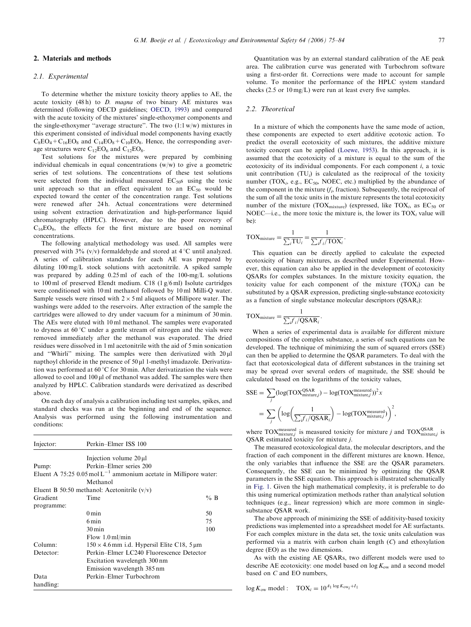#### 2.1. Experimental

To determine whether the mixture toxicity theory applies to AE, the acute toxicity  $(48 \text{ h})$  to *D. magna* of two binary AE mixtures was determined (following OECD guidelines; [OECD, 1993](#page-9-0)) and compared with the acute toxicity of the mixtures' single-ethoxymer components and the single-ethoxymer "average structure". The two  $(1:1 \text{ w/w})$  mixtures in this experiment consisted of individual model components having exactly  $C_8EO_4 + C_{16}EO_8$  and  $C_{14}EO_8 + C_{10}EO_8$ . Hence, the corresponding average structures were  $C_{12}EO_6$  and  $C_{12}EO_8$ .

Test solutions for the mixtures were prepared by combining individual chemicals in equal concentrations (w/w) to give a geometric series of test solutions. The concentrations of these test solutions were selected from the individual measured  $EC_{50}$ s using the toxic unit approach so that an effect equivalent to an  $EC_{50}$  would be expected toward the center of the concentration range. Test solutions were renewed after 24 h. Actual concentrations were determined using solvent extraction derivatization and high-performance liquid chromatography (HPLC). However, due to the poor recovery of  $C_{16}EO_8$ , the effects for the first mixture are based on nominal concentrations.

The following analytical methodology was used. All samples were preserved with  $3\%$  (v/v) formaldehyde and stored at  $4^{\circ}$ C until analyzed. A series of calibration standards for each AE was prepared by diluting 100 mg/L stock solutions with acetonitrile. A spiked sample was prepared by adding 0.25 ml of each of the 100-mg/L solutions to 100 ml of preserved Elendt medium. C18 (1 g/6 ml) Isolute cartridges were conditioned with 10 ml methanol followed by 10 ml Milli-O water. Sample vessels were rinsed with  $2 \times 5$  ml aliquots of Millipore water. The washings were added to the reservoirs. After extraction of the sample the cartridges were allowed to dry under vacuum for a minimum of 30 min. The AEs were eluted with 10 ml methanol. The samples were evaporated to dryness at  $60^{\circ}$ C under a gentle stream of nitrogen and the vials were removed immediately after the methanol was evaporated. The dried residues were dissolved in 1 ml acetonitrile with the aid of 5 min sonication and "Whirli" mixing. The samples were then derivatized with  $20 \mu$ l napthoyl chloride in the presence of  $50 \mu$ l 1-methyl imadazole. Derivatization was performed at  $60^{\circ}$ C for 30 min. After derivatization the vials were allowed to cool and 100 µl of methanol was added. The samples were then analyzed by HPLC. Calibration standards were derivatized as described above.

On each day of analysis a calibration including test samples, spikes, and standard checks was run at the beginning and end of the sequence. Analysis was performed using the following instrumentation and conditions:

| Injector:  | Perkin-Elmer ISS 100                                                          |                                                   |  |  |
|------------|-------------------------------------------------------------------------------|---------------------------------------------------|--|--|
|            | Injection volume $20 \mu l$                                                   |                                                   |  |  |
| Pump:      | Perkin-Elmer series 200                                                       |                                                   |  |  |
|            | Eluent A 75:25 $0.05 \text{ mol} L^{-1}$ ammonium acetate in Millipore water: |                                                   |  |  |
|            | Methanol                                                                      |                                                   |  |  |
|            | Eluent B 50:50 methanol: Acetonitrile $(v/v)$                                 |                                                   |  |  |
| Gradient   | Time                                                                          | $%$ B                                             |  |  |
| programme: |                                                                               |                                                   |  |  |
|            | $0 \text{ min}$                                                               | 50                                                |  |  |
|            | 6 min                                                                         | 75                                                |  |  |
|            | $30 \,\mathrm{min}$                                                           | 100                                               |  |  |
|            | Flow $1.0$ ml/min                                                             |                                                   |  |  |
| Column:    |                                                                               | $150 \times 4.6$ mm i.d. Hypersil Elite C18, 5 µm |  |  |
| Detector:  | Perkin–Elmer LC240 Fluorescence Detector                                      |                                                   |  |  |
|            | Excitation wavelength 300 nm                                                  |                                                   |  |  |
|            | Emission wavelength 385 nm                                                    |                                                   |  |  |
| Data       | Perkin-Elmer Turbochrom                                                       |                                                   |  |  |
| handling:  |                                                                               |                                                   |  |  |

checks (2.5 or 10 mg/L) were run at least every five samples.

#### 2.2. Theoretical

In a mixture of which the components have the same mode of action, these components are expected to exert additive ecotoxic action. To predict the overall ecotoxicity of such mixtures, the additive mixture toxicity concept can be applied [\(Loewe, 1953](#page-9-0)). In this approach, it is assumed that the ecotoxicity of a mixture is equal to the sum of the ecotoxicity of its individual components. For each component i, a toxic unit contribution  $(TU_i)$  is calculated as the reciprocal of the toxicity number (TOX<sub>i</sub>, e.g., EC<sub>50</sub>, NOEC, etc.) multiplied by the abundance of the component in the mixture  $(f_i)$ , fraction). Subsequently, the reciprocal of the sum of all the toxic units in the mixture represents the total ecotoxicity number of the mixture (TOX<sub>mixture</sub>) (expressed, like TOX<sub>i</sub>, as  $EC_{50}$  or NOEC—i.e., the more toxic the mixture is, the lower its  $TOX_i$  value will be):

$$
TOX_{\text{mixture}} = \frac{1}{\sum_{i} TU_{i}} = \frac{1}{\sum_{i} f_{i} / TOX_{i}}.
$$

This equation can be directly applied to calculate the expected ecotoxicity of binary mixtures, as described under Experimental. However, this equation can also be applied in the development of ecotoxicity QSARs for complex substances. In the mixture toxicity equation, the toxicity value for each component of the mixture  $(TOX_i)$  can be substituted by a QSAR expression, predicting single-substance ecotoxicity as a function of single substance molecular descriptors  $(QSAR_i)$ :

$$
TOXmixture = \frac{1}{\sum_i f_i/QSAR_i}.
$$

When a series of experimental data is available for different mixture compositions of the complex substance, a series of such equations can be developed. The technique of minimizing the sum of squared errors (SSE) can then be applied to determine the QSAR parameters. To deal with the fact that ecotoxicological data of different substances in the training set may be spread over several orders of magnitude, the SSE should be calculated based on the logarithms of the toxicity values,

$$
SSE = \sum_{j} (log(TOX_{\text{mixture},j}^{OSAR}) - log(TOX_{\text{mixture},j}^{\text{measured}}))^2 x
$$
  
= 
$$
\sum_{j} \left( log\left(\frac{1}{\sum_{j} f_{i}/QSAR_{j}}\right) - log(TOX_{\text{mixture},j}^{\text{measured}})\right)^2,
$$

where TOX<sup>measured</sup> is measured toxicity for mixture j and TOX<sup>QSAR</sup> is QSAR estimated toxicity for mixture j.

The measured ecotoxicological data, the molecular descriptors, and the fraction of each component in the different mixtures are known. Hence, the only variables that influence the SSE are the QSAR parameters. Consequently, the SSE can be minimized by optimizing the QSAR parameters in the SSE equation. This approach is illustrated schematically in [Fig. 1](#page-3-0). Given the high mathematical complexity, it is preferable to do this using numerical optimization methods rather than analytical solution techniques (e.g., linear regression) which are more common in singlesubstance QSAR work.

The above approach of minimizing the SSE of additivity-based toxicity predictions was implemented into a spreadsheet model for AE surfactants. For each complex mixture in the data set, the toxic units calculation was performed via a matrix with carbon chain length (C) and ethoxylation degree (EO) as the two dimensions.

As with the existing AE QSARs, two different models were used to describe AE ecotoxicity: one model based on  $\log K_{\text{ow}}$  and a second model based on C and EO numbers,

 $\log K_{\text{ow}}$  model :  $\text{TOX}_i = 10^{A_1 \log K_{\text{ow}_i} + I_1}$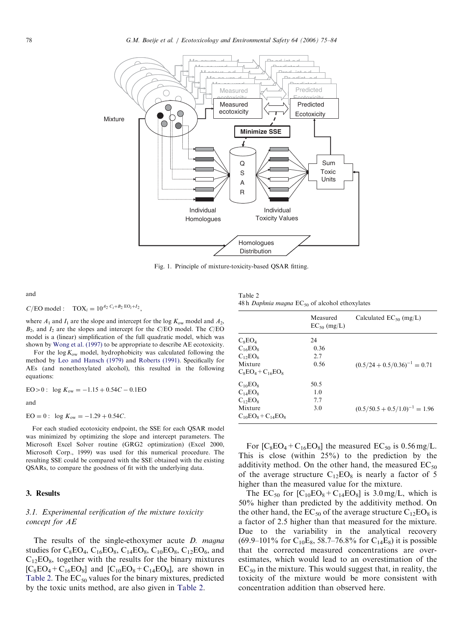<span id="page-3-0"></span>

Fig. 1. Principle of mixture-toxicity-based QSAR fitting.

and

$$
C/\text{EO model}: \text{TOX}_i = 10^{A_2 C_i + B_2 \text{EO}_i + I_2},
$$

where  $A_1$  and  $I_1$  are the slope and intercept for the log  $K_{ow}$  model and  $A_2$ ,  $B_2$ , and  $I_2$  are the slopes and intercept for the C/EO model. The C/EO model is a (linear) simplification of the full quadratic model, which was shown by [Wong et al. \(1997\)](#page-9-0) to be appropriate to describe AE ecotoxicity.

For the  $\log K_{\rm ow}$  model, hydrophobicity was calculated following the method by [Leo and Hansch \(1979\)](#page-9-0) and [Roberts \(1991\).](#page-9-0) Specifically for AEs (and nonethoxylated alcohol), this resulted in the following equations:

$$
EO > 0: \log K_{ow} = -1.15 + 0.54C - 0.1EO
$$

and

$$
EO = 0: \log K_{ow} = -1.29 + 0.54C.
$$

For each studied ecotoxicity endpoint, the SSE for each QSAR model was minimized by optimizing the slope and intercept parameters. The Microsoft Excel Solver routine (GRG2 optimization) (Excel 2000, Microsoft Corp., 1999) was used for this numerical procedure. The resulting SSE could be compared with the SSE obtained with the existing QSARs, to compare the goodness of fit with the underlying data.

# 3. Results

# 3.1. Experimental verification of the mixture toxicity concept for AE

The results of the single-ethoxymer acute *D. magna* studies for  $C_8EO_4$ ,  $C_{16}EO_8$ ,  $C_{14}EO_8$ ,  $C_{10}EO_8$ ,  $C_{12}EO_6$ , and  $C_{12}EO_8$ , together with the results for the binary mixtures  $[C_8EO_4 + C_{16}EO_8]$  and  $[C_{10}EO_8 + C_{14}EO_8]$ , are shown in Table 2. The  $EC_{50}$  values for the binary mixtures, predicted by the toxic units method, are also given in Table 2.

Table 2 48 h Daphnia magna  $EC_{50}$  of alcohol ethoxylates

|                           | Measured<br>$EC_{50}$ (mg/L) | Calculated $EC_{50}$ (mg/L)        |
|---------------------------|------------------------------|------------------------------------|
| $C_8EO_4$                 | 24                           |                                    |
| $C_{16}EO_8$              | 0.36                         |                                    |
| $C_{12}EO_6$              | 2.7                          |                                    |
| Mixture                   | 0.56                         | $(0.5/24 + 0.5/0.36)^{-1} = 0.71$  |
| $C_8EO_4 + C_{16}EO_8$    |                              |                                    |
| $C_{10}EO_8$              | 50.5                         |                                    |
| $C_{14}EO_8$              | 1.0                          |                                    |
| $C_{12}EO_8$              | 7.7                          |                                    |
| Mixture                   | 3.0                          | $(0.5/50.5 + 0.5/1.0)^{-1} = 1.96$ |
| $C_{10}EO_8 + C_{14}EO_8$ |                              |                                    |

For  $[C_8EO_4 + C_{16}EO_8]$  the measured  $EC_{50}$  is 0.56 mg/L. This is close (within 25%) to the prediction by the additivity method. On the other hand, the measured  $EC_{50}$ of the average structure  $C_{12}EO_8$  is nearly a factor of 5 higher than the measured value for the mixture.

The  $EC_{50}$  for  $[C_{10}EO_8 + C_{14}EO_8]$  is 3.0 mg/L, which is 50% higher than predicted by the additivity method. On the other hand, the  $EC_{50}$  of the average structure  $C_{12}EO_8$  is a factor of 2.5 higher than that measured for the mixture. Due to the variability in the analytical recovery (69.9–101% for  $C_{10}E_8$ , 58.7–76.8% for  $C_{14}E_8$ ) it is possible that the corrected measured concentrations are overestimates, which would lead to an overestimation of the  $EC_{50}$  in the mixture. This would suggest that, in reality, the toxicity of the mixture would be more consistent with concentration addition than observed here.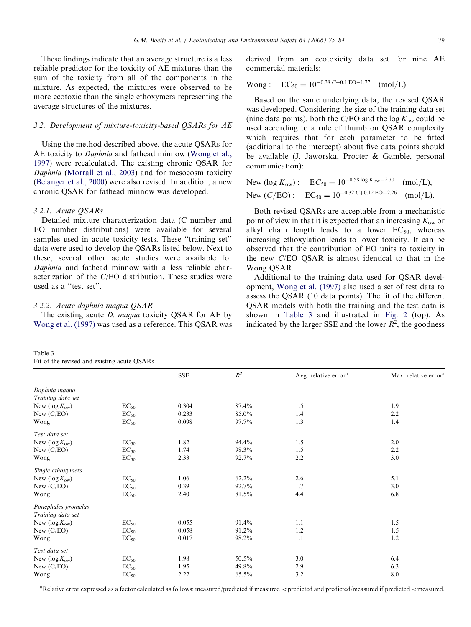<span id="page-4-0"></span>These findings indicate that an average structure is a less reliable predictor for the toxicity of AE mixtures than the sum of the toxicity from all of the components in the mixture. As expected, the mixtures were observed to be more ecotoxic than the single ethoxymers representing the average structures of the mixtures.

# 3.2. Development of mixture-toxicity-based QSARs for AE

Using the method described above, the acute QSARs for AE toxicity to *Daphnia* and fathead minnow ([Wong et al.,](#page-9-0) [1997](#page-9-0)) were recalculated. The existing chronic QSAR for Daphnia ([Morrall et al., 2003\)](#page-9-0) and for mesocosm toxicity ([Belanger et al., 2000](#page-9-0)) were also revised. In addition, a new chronic QSAR for fathead minnow was developed.

#### 3.2.1. Acute QSARs

Detailed mixture characterization data (C number and EO number distributions) were available for several samples used in acute toxicity tests. These "training set" data were used to develop the QSARs listed below. Next to these, several other acute studies were available for Daphnia and fathead minnow with a less reliable characterization of the C/EO distribution. These studies were used as a ''test set''.

# 3.2.2. Acute daphnia magna QSAR

The existing acute *D. magna* toxicity QSAR for AE by [Wong et al. \(1997\)](#page-9-0) was used as a reference. This QSAR was

| Table 3                                     |  |  |
|---------------------------------------------|--|--|
| Fit of the revised and existing acute QSARs |  |  |

derived from an ecotoxicity data set for nine AE commercial materials:

Wong: EC<sub>50</sub> = 
$$
10^{-0.38 C + 0.1 EO - 1.77}
$$
 (mol/L).

Based on the same underlying data, the revised QSAR was developed. Considering the size of the training data set (nine data points), both the C/EO and the  $\log K_{ow}$  could be used according to a rule of thumb on QSAR complexity which requires that for each parameter to be fitted (additional to the intercept) about five data points should be available (J. Jaworska, Procter & Gamble, personal communication):

New (log 
$$
K_{ow}
$$
):  $EC_{50} = 10^{-0.58 \log K_{ow} - 2.70}$  (mol/L),  
New ( $C/EO$ ):  $EC_{50} = 10^{-0.32 \text{ } C+0.12 \text{ } EO - 2.26}$  (mol/L).

Both revised QSARs are acceptable from a mechanistic point of view in that it is expected that an increasing  $K_{\text{ow}}$  or alkyl chain length leads to a lower  $EC_{50}$ , whereas increasing ethoxylation leads to lower toxicity. It can be observed that the contribution of EO units to toxicity in the new C/EO QSAR is almost identical to that in the Wong QSAR.

Additional to the training data used for QSAR development, [Wong et al. \(1997\)](#page-9-0) also used a set of test data to assess the QSAR (10 data points). The fit of the different QSAR models with both the training and the test data is shown in Table 3 and illustrated in [Fig. 2](#page-5-0) (top). As indicated by the larger SSE and the lower  $\overline{R}^2$ , the goodness

|                         |           | <b>SSE</b> | $R^2$    | Avg. relative error <sup>a</sup> | Max. relative error <sup>a</sup> |
|-------------------------|-----------|------------|----------|----------------------------------|----------------------------------|
| Daphnia magna           |           |            |          |                                  |                                  |
| Training data set       |           |            |          |                                  |                                  |
| New $(\log K_{\rm ow})$ | $EC_{50}$ | 0.304      | 87.4%    | 1.5                              | 1.9                              |
| New $(C/EO)$            | $EC_{50}$ | 0.233      | 85.0%    | 1.4                              | 2.2                              |
| Wong                    | $EC_{50}$ | 0.098      | 97.7%    | 1.3                              | 1.4                              |
| Test data set           |           |            |          |                                  |                                  |
| New $(\log K_{\rm ow})$ | $EC_{50}$ | 1.82       | 94.4%    | 1.5                              | 2.0                              |
| New $(C/EO)$            | $EC_{50}$ | 1.74       | 98.3%    | 1.5                              | 2.2                              |
| Wong                    | $EC_{50}$ | 2.33       | 92.7%    | 2.2                              | 3.0                              |
| Single ethoxymers       |           |            |          |                                  |                                  |
| New $(\log K_{\rm ow})$ | $EC_{50}$ | 1.06       | $62.2\%$ | 2.6                              | 5.1                              |
| New $(C/EO)$            | $EC_{50}$ | 0.39       | 92.7%    | 1.7                              | 3.0                              |
| Wong                    | $EC_{50}$ | 2.40       | 81.5%    | 4.4                              | 6.8                              |
| Pimephales promelas     |           |            |          |                                  |                                  |
| Training data set       |           |            |          |                                  |                                  |
| New $(\log K_{\rm ow})$ | $EC_{50}$ | 0.055      | 91.4%    | 1.1                              | 1.5                              |
| New $(C/EO)$            | $EC_{50}$ | 0.058      | 91.2%    | 1.2                              | 1.5                              |
| Wong                    | $EC_{50}$ | 0.017      | 98.2%    | 1.1                              | 1.2                              |
| Test data set           |           |            |          |                                  |                                  |
| New $(\log K_{\rm ow})$ | $EC_{50}$ | 1.98       | 50.5%    | 3.0                              | 6.4                              |
| New $(C/EO)$            | $EC_{50}$ | 1.95       | 49.8%    | 2.9                              | 6.3                              |
| Wong                    | $EC_{50}$ | 2.22       | 65.5%    | 3.2                              | 8.0                              |

<sup>a</sup> Relative error expressed as a factor calculated as follows: measured/predicted if measured <predicted and predicted/measured if predicted <measured.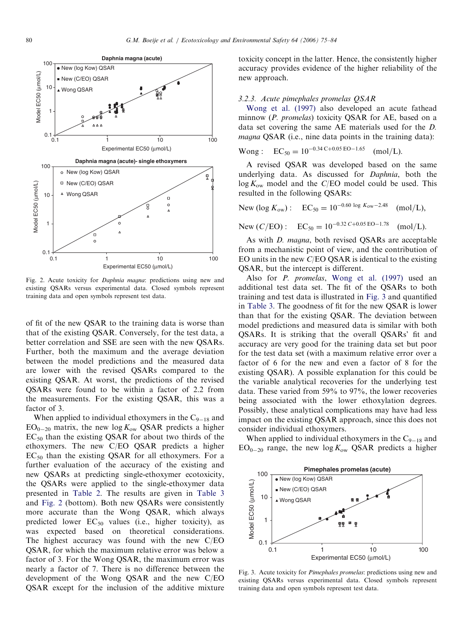<span id="page-5-0"></span>

Fig. 2. Acute toxicity for Daphnia magna: predictions using new and existing QSARs versus experimental data. Closed symbols represent training data and open symbols represent test data.

of fit of the new QSAR to the training data is worse than that of the existing QSAR. Conversely, for the test data, a better correlation and SSE are seen with the new QSARs. Further, both the maximum and the average deviation between the model predictions and the measured data are lower with the revised QSARs compared to the existing QSAR. At worst, the predictions of the revised QSARs were found to be within a factor of 2.2 from the measurements. For the existing QSAR, this was a factor of 3.

When applied to individual ethoxymers in the  $C_{9-18}$  and  $EO_{0-20}$  matrix, the new  $log K_{ow}$  QSAR predicts a higher  $EC_{50}$  than the existing QSAR for about two thirds of the ethoxymers. The new C/EO QSAR predicts a higher  $EC_{50}$  than the existing QSAR for all ethoxymers. For a further evaluation of the accuracy of the existing and new QSARs at predicting single-ethoxymer ecotoxicity, the QSARs were applied to the single-ethoxymer data presented in [Table 2.](#page-3-0) The results are given in [Table 3](#page-4-0) and Fig. 2 (bottom). Both new QSARs were consistently more accurate than the Wong QSAR, which always predicted lower  $EC_{50}$  values (i.e., higher toxicity), as was expected based on theoretical considerations. The highest accuracy was found with the new C/EO QSAR, for which the maximum relative error was below a factor of 3. For the Wong QSAR, the maximum error was nearly a factor of 7. There is no difference between the development of the Wong QSAR and the new C/EO QSAR except for the inclusion of the additive mixture

toxicity concept in the latter. Hence, the consistently higher accuracy provides evidence of the higher reliability of the new approach.

#### 3.2.3. Acute pimephales promelas QSAR

[Wong et al. \(1997\)](#page-9-0) also developed an acute fathead minnow (P. promelas) toxicity QSAR for AE, based on a data set covering the same AE materials used for the D. magna QSAR (i.e., nine data points in the training data):

Wong: EC<sub>50</sub> = 
$$
10^{-0.34 \text{ C} + 0.05 \text{ EO} - 1.65}
$$
 (mol/L).

A revised QSAR was developed based on the same underlying data. As discussed for Daphnia, both the  $\log K_{\rm ow}$  model and the C/EO model could be used. This resulted in the following QSARs:

New (log 
$$
K_{\text{ow}}
$$
): EC<sub>50</sub> = 10<sup>-0.60 log  $K_{\text{ow}}-2.48$  (mol/L),</sup>

New 
$$
(C/EO)
$$
: EC<sub>50</sub> = 10<sup>-0.32</sup> C+0.05 EO-1.78 (mol/L).

As with D. magna, both revised QSARs are acceptable from a mechanistic point of view, and the contribution of EO units in the new C/EO QSAR is identical to the existing QSAR, but the intercept is different.

Also for P. promelas, [Wong et al. \(1997\)](#page-9-0) used an additional test data set. The fit of the QSARs to both training and test data is illustrated in Fig. 3 and quantified in [Table 3](#page-4-0). The goodness of fit for the new QSAR is lower than that for the existing QSAR. The deviation between model predictions and measured data is similar with both QSARs. It is striking that the overall QSARs' fit and accuracy are very good for the training data set but poor for the test data set (with a maximum relative error over a factor of 6 for the new and even a factor of 8 for the existing QSAR). A possible explanation for this could be the variable analytical recoveries for the underlying test data. These varied from 59% to 97%, the lower recoveries being associated with the lower ethoxylation degrees. Possibly, these analytical complications may have had less impact on the existing QSAR approach, since this does not consider individual ethoxymers.

When applied to individual ethoxymers in the  $C_{9-18}$  and  $EO_{0-20}$  range, the new log  $K_{ow}$  QSAR predicts a higher



Fig. 3. Acute toxicity for Pimephales promelas: predictions using new and existing QSARs versus experimental data. Closed symbols represent training data and open symbols represent test data.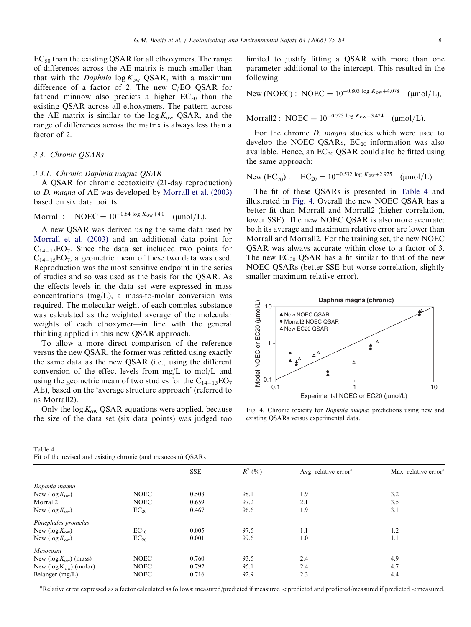<span id="page-6-0"></span> $EC_{50}$  than the existing QSAR for all ethoxymers. The range of differences across the AE matrix is much smaller than that with the *Daphnia*  $\log K_{ow}$  QSAR, with a maximum difference of a factor of 2. The new C/EO QSAR for fathead minnow also predicts a higher  $EC_{50}$  than the existing QSAR across all ethoxymers. The pattern across the AE matrix is similar to the  $\log K_{\rm ow}$  QSAR, and the range of differences across the matrix is always less than a factor of 2.

## 3.3. Chronic QSARs

Table 4

## 3.3.1. Chronic Daphnia magna QSAR

A QSAR for chronic ecotoxicity (21-day reproduction) to D. magna of AE was developed by [Morrall et al. \(2003\)](#page-9-0) based on six data points:

Morrall : NOEC = 
$$
10^{-0.84 \log K_{ow} + 4.0}
$$
 (µmol/L).

A new QSAR was derived using the same data used by [Morrall et al. \(2003\)](#page-9-0) and an additional data point for  $C_{14-15}EO_7$ . Since the data set included two points for  $C_{14-15}EO_7$ , a geometric mean of these two data was used. Reproduction was the most sensitive endpoint in the series of studies and so was used as the basis for the QSAR. As the effects levels in the data set were expressed in mass concentrations (mg/L), a mass-to-molar conversion was required. The molecular weight of each complex substance was calculated as the weighted average of the molecular weights of each ethoxymer—in line with the general thinking applied in this new QSAR approach.

To allow a more direct comparison of the reference versus the new QSAR, the former was refitted using exactly the same data as the new QSAR (i.e., using the different conversion of the effect levels from mg/L to mol/L and using the geometric mean of two studies for the  $C_{14-15}EO_7$ AE), based on the 'average structure approach' (referred to as Morrall2).

Only the  $\log K_{\text{ow}}$  QSAR equations were applied, because the size of the data set (six data points) was judged too

Fit of the revised and existing chronic (and mesocosm) QSARs

limited to justify fitting a QSAR with more than one parameter additional to the intercept. This resulted in the following:

New (NOEC): NOEC = 
$$
10^{-0.803 \log K_{\text{ow}} + 4.078}
$$
 (µmol/L),

Morrall2 : NOEC =  $10^{-0.723}$  log  $K_{ow}+3.424$  (umol/L).

For the chronic D. magna studies which were used to develop the NOEC QSARs,  $EC_{20}$  information was also available. Hence, an  $EC_{20}$  QSAR could also be fitted using the same approach:

New (EC<sub>20</sub>): EC<sub>20</sub> = 
$$
10^{-0.532 \log K_{\text{ow}} + 2.975}
$$
 (µmol/L).

The fit of these QSARs is presented in Table 4 and illustrated in Fig. 4. Overall the new NOEC QSAR has a better fit than Morrall and Morrall2 (higher correlation, lower SSE). The new NOEC QSAR is also more accurate: both its average and maximum relative error are lower than Morrall and Morrall2. For the training set, the new NOEC QSAR was always accurate within close to a factor of 3. The new  $EC_{20}$  QSAR has a fit similar to that of the new NOEC QSARs (better SSE but worse correlation, slightly smaller maximum relative error).



Fig. 4. Chronic toxicity for Daphnia magna: predictions using new and existing QSARs versus experimental data.

| I It of the fevised and existing emotive (and mesocosin) Questes |             |       |           |                                  |                                  |
|------------------------------------------------------------------|-------------|-------|-----------|----------------------------------|----------------------------------|
|                                                                  |             | SSE   | $R^2$ (%) | Avg. relative error <sup>a</sup> | Max. relative error <sup>8</sup> |
| Daphnia magna                                                    |             |       |           |                                  |                                  |
| New $(\log K_{\rm ow})$                                          | <b>NOEC</b> | 0.508 | 98.1      | 1.9                              | 3.2                              |
| Morrall2                                                         | <b>NOEC</b> | 0.659 | 97.2      | 2.1                              | 3.5                              |
| New $(\log K_{\rm ow})$                                          | $EC_{20}$   | 0.467 | 96.6      | 1.9                              | 3.1                              |
| Pimephales promelas                                              |             |       |           |                                  |                                  |
| New $(\log K_{\rm ow})$                                          | $EC_{10}$   | 0.005 | 97.5      | 1.1                              | 1.2                              |
| New ( $\log K_{\rm ow}$ )                                        | $EC_{20}$   | 0.001 | 99.6      | 1.0                              | 1.1                              |
| Mesocosm                                                         |             |       |           |                                  |                                  |
| New ( $\log K_{\rm ow}$ ) (mass)                                 | <b>NOEC</b> | 0.760 | 93.5      | 2.4                              | 4.9                              |
| New ( $log K_{ow}$ ) (molar)                                     | <b>NOEC</b> | 0.792 | 95.1      | 2.4                              | 4.7                              |
| Belanger $(mg/L)$                                                | <b>NOEC</b> | 0.716 | 92.9      | 2.3                              | 4.4                              |
|                                                                  |             |       |           |                                  |                                  |

<sup>a</sup> Relative error expressed as a factor calculated as follows: measured/predicted if measured <predicted and predicted/measured if predicted <measured.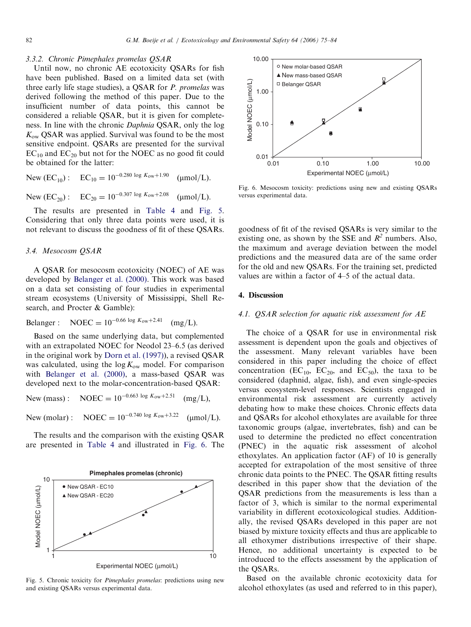#### 3.3.2. Chronic Pimephales promelas QSAR

Until now, no chronic AE ecotoxicity QSARs for fish have been published. Based on a limited data set (with three early life stage studies), a QSAR for P. promelas was derived following the method of this paper. Due to the insufficient number of data points, this cannot be considered a reliable QSAR, but it is given for completeness. In line with the chronic Daphnia QSAR, only the log  $K_{\rm ow}$  QSAR was applied. Survival was found to be the most sensitive endpoint. QSARs are presented for the survival  $EC_{10}$  and  $EC_{20}$  but not for the NOEC as no good fit could be obtained for the latter:

New 
$$
(EC_{10})
$$
:  $EC_{10} = 10^{-0.280 \log K_{ow} + 1.90}$  (µmol/L).

New  $(EC_{20})$ :  $EC_{20} = 10^{-0.307 \log K_{ow} + 2.08}$  (umol/L).

The results are presented in [Table 4](#page-6-0) and Fig. 5. Considering that only three data points were used, it is not relevant to discuss the goodness of fit of these QSARs.

#### 3.4. Mesocosm QSAR

A QSAR for mesocosm ecotoxicity (NOEC) of AE was developed by [Belanger et al. \(2000\).](#page-9-0) This work was based on a data set consisting of four studies in experimental stream ecosystems (University of Mississippi, Shell Research, and Procter & Gamble):

Belanger : NOEC =  $10^{-0.66 \log K_{\text{ow}}+2.41}$  (mg/L).

Based on the same underlying data, but complemented with an extrapolated NOEC for Neodol 23–6.5 (as derived in the original work by [Dorn et al. \(1997\)](#page-9-0)), a revised QSAR was calculated, using the  $\log K_{\rm ow}$  model. For comparison with [Belanger et al. \(2000\)](#page-9-0), a mass-based QSAR was developed next to the molar-concentration-based QSAR:

New (mass): NOEC =  $10^{-0.663 \log K_{\text{ow}}+2.51}$  (mg/L),

New (molar) : NOEC =  $10^{-0.740 \log K_{\text{ow}}+3.22}$  (µmol/L).

The results and the comparison with the existing QSAR are presented in [Table 4](#page-6-0) and illustrated in Fig. 6. The



Fig. 5. Chronic toxicity for Pimephales promelas: predictions using new and existing QSARs versus experimental data.



Fig. 6. Mesocosm toxicity: predictions using new and existing QSARs versus experimental data.

goodness of fit of the revised QSARs is very similar to the existing one, as shown by the SSE and  $R^2$  numbers. Also, the maximum and average deviation between the model predictions and the measured data are of the same order for the old and new QSARs. For the training set, predicted values are within a factor of 4–5 of the actual data.

## 4. Discussion

## 4.1. QSAR selection for aquatic risk assessment for AE

The choice of a QSAR for use in environmental risk assessment is dependent upon the goals and objectives of the assessment. Many relevant variables have been considered in this paper including the choice of effect concentration ( $EC_{10}$ ,  $EC_{20}$ , and  $EC_{50}$ ), the taxa to be considered (daphnid, algae, fish), and even single-species versus ecosystem-level responses. Scientists engaged in environmental risk assessment are currently actively debating how to make these choices. Chronic effects data and QSARs for alcohol ethoxylates are available for three taxonomic groups (algae, invertebrates, fish) and can be used to determine the predicted no effect concentration (PNEC) in the aquatic risk assessment of alcohol ethoxylates. An application factor (AF) of 10 is generally accepted for extrapolation of the most sensitive of three chronic data points to the PNEC. The QSAR fitting results described in this paper show that the deviation of the QSAR predictions from the measurements is less than a factor of 3, which is similar to the normal experimental variability in different ecotoxicological studies. Additionally, the revised QSARs developed in this paper are not biased by mixture toxicity effects and thus are applicable to all ethoxymer distributions irrespective of their shape. Hence, no additional uncertainty is expected to be introduced to the effects assessment by the application of the QSARs.

Based on the available chronic ecotoxicity data for alcohol ethoxylates (as used and referred to in this paper),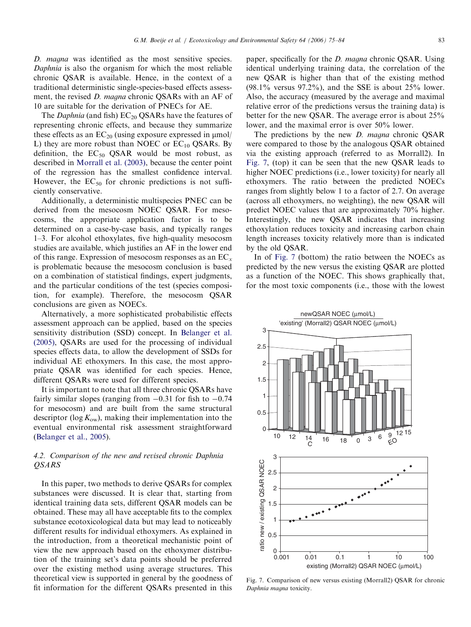D. magna was identified as the most sensitive species. Daphnia is also the organism for which the most reliable chronic QSAR is available. Hence, in the context of a traditional deterministic single-species-based effects assessment, the revised *D. magna* chronic QSARs with an AF of 10 are suitable for the derivation of PNECs for AE.

The *Daphnia* (and fish)  $EC_{20}$  QSARs have the features of representing chronic effects, and because they summarize these effects as an  $EC_{20}$  (using exposure expressed in  $\mu$ mol/ L) they are more robust than NOEC or  $EC_{10}$  QSARs. By definition, the  $EC_{50}$  QSAR would be most robust, as described in [Morrall et al. \(2003\)](#page-9-0), because the center point of the regression has the smallest confidence interval. However, the  $EC_{50}$  for chronic predictions is not sufficiently conservative.

Additionally, a deterministic multispecies PNEC can be derived from the mesocosm NOEC QSAR. For mesocosms, the appropriate application factor is to be determined on a case-by-case basis, and typically ranges 1–3. For alcohol ethoxylates, five high-quality mesocosm studies are available, which justifies an AF in the lower end of this range. Expression of mesocosm responses as an  $EC_x$ is problematic because the mesocosm conclusion is based on a combination of statistical findings, expert judgments, and the particular conditions of the test (species composition, for example). Therefore, the mesocosm QSAR conclusions are given as NOECs.

Alternatively, a more sophisticated probabilistic effects assessment approach can be applied, based on the species sensitivity distribution (SSD) concept. In [Belanger et al.](#page-9-0) [\(2005\)](#page-9-0), QSARs are used for the processing of individual species effects data, to allow the development of SSDs for individual AE ethoxymers. In this case, the most appropriate QSAR was identified for each species. Hence, different QSARs were used for different species.

It is important to note that all three chronic QSARs have fairly similar slopes (ranging from  $-0.31$  for fish to  $-0.74$ for mesocosm) and are built from the same structural descriptor (log  $K_{\text{ow}}$ ), making their implementation into the eventual environmental risk assessment straightforward ([Belanger et al., 2005](#page-9-0)).

# 4.2. Comparison of the new and revised chronic Daphnia QSARS

In this paper, two methods to derive QSARs for complex substances were discussed. It is clear that, starting from identical training data sets, different QSAR models can be obtained. These may all have acceptable fits to the complex substance ecotoxicological data but may lead to noticeably different results for individual ethoxymers. As explained in the introduction, from a theoretical mechanistic point of view the new approach based on the ethoxymer distribution of the training set's data points should be preferred over the existing method using average structures. This theoretical view is supported in general by the goodness of fit information for the different QSARs presented in this paper, specifically for the D. magna chronic QSAR. Using identical underlying training data, the correlation of the new QSAR is higher than that of the existing method  $(98.1\%$  versus  $97.2\%$ ), and the SSE is about  $25\%$  lower. Also, the accuracy (measured by the average and maximal relative error of the predictions versus the training data) is better for the new QSAR. The average error is about 25% lower, and the maximal error is over 50% lower.

The predictions by the new *D. magna* chronic QSAR were compared to those by the analogous QSAR obtained via the existing approach (referred to as Morrall2). In Fig. 7, (top) it can be seen that the new QSAR leads to higher NOEC predictions (i.e., lower toxicity) for nearly all ethoxymers. The ratio between the predicted NOECs ranges from slightly below 1 to a factor of 2.7. On average (across all ethoxymers, no weighting), the new QSAR will predict NOEC values that are approximately 70% higher. Interestingly, the new QSAR indicates that increasing ethoxylation reduces toxicity and increasing carbon chain length increases toxicity relatively more than is indicated by the old QSAR.

In of Fig. 7 (bottom) the ratio between the NOECs as predicted by the new versus the existing QSAR are plotted as a function of the NOEC. This shows graphically that, for the most toxic components (i.e., those with the lowest



Fig. 7. Comparison of new versus existing (Morrall2) QSAR for chronic Daphnia magna toxicity.